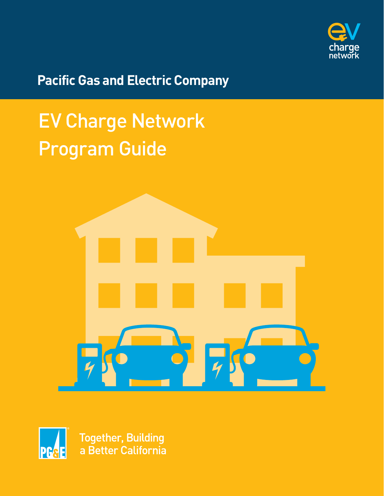

**Pacific Gas and Electric Company** 

# EV Charge Network Program Guide





Together, Building<br>a Better California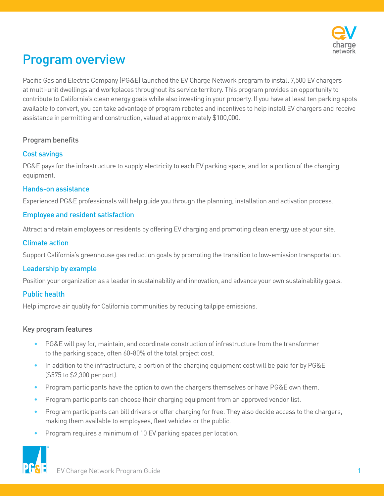

# Program overview

Pacific Gas and Electric Company (PG&E) launched the EV Charge Network program to install 7,500 EV chargers at multi-unit dwellings and workplaces throughout its service territory. This program provides an opportunity to contribute to California's clean energy goals while also investing in your property. If you have at least ten parking spots available to convert, you can take advantage of program rebates and incentives to help install EV chargers and receive assistance in permitting and construction, valued at approximately \$100,000.

### Program benefits

### Cost savings

PG&E pays for the infrastructure to supply electricity to each EV parking space, and for a portion of the charging equipment.

### Hands-on assistance

Experienced PG&E professionals will help guide you through the planning, installation and activation process.

#### Employee and resident satisfaction

Attract and retain employees or residents by offering EV charging and promoting clean energy use at your site.

### Climate action

Support California's greenhouse gas reduction goals by promoting the transition to low-emission transportation.

### Leadership by example

Position your organization as a leader in sustainability and innovation, and advance your own sustainability goals.

### Public health

Help improve air quality for California communities by reducing tailpipe emissions.

#### Key program features

- PG&E will pay for, maintain, and coordinate construction of infrastructure from the transformer to the parking space, often 60-80% of the total project cost.
- In addition to the infrastructure, a portion of the charging equipment cost will be paid for by PG&E (\$575 to \$2,300 per port).
- Program participants have the option to own the chargers themselves or have PG&E own them.
- Program participants can choose their charging equipment from an approved vendor list.
- Program participants can bill drivers or offer charging for free. They also decide access to the chargers, making them available to employees, fleet vehicles or the public.
- Program requires a minimum of 10 EV parking spaces per location.

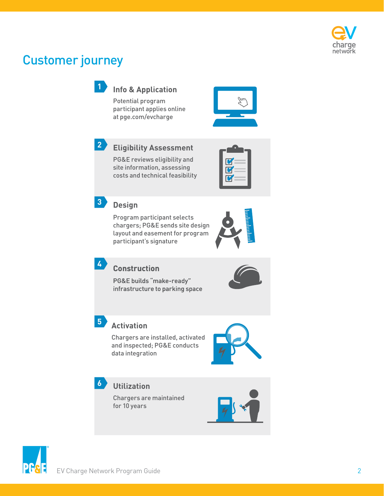

### Customer journey



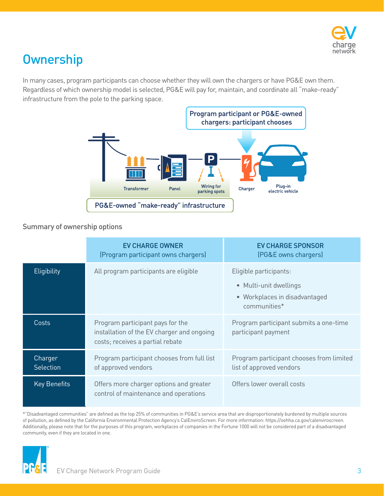

## **Ownership**

In many cases, program participants can choose whether they will own the chargers or have PG&E own them. Regardless of which ownership model is selected, PG&E will pay for, maintain, and coordinate all "make-ready" infrastructure from the pole to the parking space.



### Summary of ownership options

|                             | <b>EV CHARGE OWNER</b><br>(Program participant owns chargers)                                                      | <b>EV CHARGE SPONSOR</b><br>(PG&E owns chargers)                                                  |
|-----------------------------|--------------------------------------------------------------------------------------------------------------------|---------------------------------------------------------------------------------------------------|
| Eligibility                 | All program participants are eligible                                                                              | Eligible participants:<br>• Multi-unit dwellings<br>• Workplaces in disadvantaged<br>communities* |
| Costs                       | Program participant pays for the<br>installation of the EV charger and ongoing<br>costs; receives a partial rebate | Program participant submits a one-time<br>participant payment                                     |
| Charger<br><b>Selection</b> | Program participant chooses from full list<br>of approved vendors                                                  | Program participant chooses from limited<br>list of approved vendors                              |
| <b>Key Benefits</b>         | Offers more charger options and greater<br>control of maintenance and operations                                   | Offers lower overall costs                                                                        |

 of pollution, as defined by the California Environmental Protection Agency's CalEnviroScreen. For more information: https://oehha.ca.gov/calenviroscreen. \*"Disadvantaged communities" are defined as the top 25% of communities in PG&E's service area that are disproportionately burdened by multiple sources Additionally, please note that for the purposes of this program, workplaces of companies in the Fortune 1000 will not be considered part of a disadvantaged community, even if they are located in one.

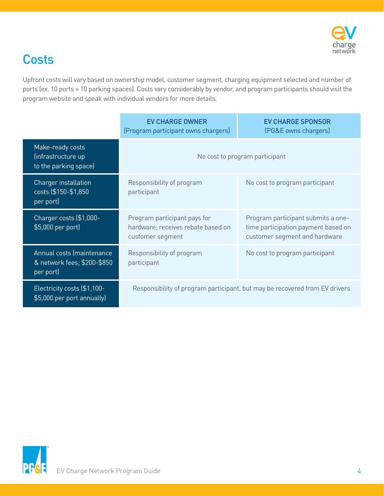

# **Costs**

Upfront costs will vary based on ownership model, customer segment, charging equipment selected and number of ports (ex. 10 ports = 10 parking spaces). Costs vary considerably by vendor, and program participants should visit the program website and speak with individual vendors for more details.

|                                                                       | <b>EV CHARGE OWNER</b><br>(Program participant owns chargers)                          | <b>EV CHARGE SPONSOR</b><br>(PG&E owns chargers)                                                           |
|-----------------------------------------------------------------------|----------------------------------------------------------------------------------------|------------------------------------------------------------------------------------------------------------|
| Make-ready costs<br>(infrastructure up<br>to the parking space)       | No cost to program participant                                                         |                                                                                                            |
| Charger installation<br>costs (\$150-\$1,850<br>per port)             | Responsibility of program<br>participant                                               | No cost to program participant                                                                             |
| Charger costs (\$1,000-<br>\$5,000 per port)                          | Program participant pays for<br>hardware; receives rebate based on<br>customer segment | Program participant submits a one-<br>time participation payment based on<br>customer segment and hardware |
| Annual costs (maintenance<br>& network fees; \$200-\$850<br>per port) | Responsibility of program<br>participant                                               | No cost to program participant                                                                             |
| Electricity costs (\$1,100-<br>\$5,000 per port annually)             | Responsibility of program participant, but may be recovered from EV drivers            |                                                                                                            |

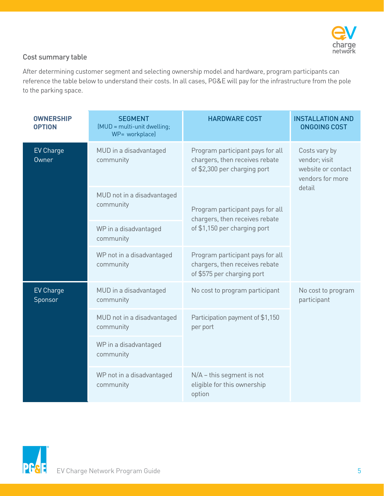

### Cost summary table

After determining customer segment and selecting ownership model and hardware, program participants can reference the table below to understand their costs. In all cases, PG&E will pay for the infrastructure from the pole to the parking space.

| <b>OWNERSHIP</b><br><b>OPTION</b> | <b>SEGMENT</b><br>(MUD = multi-unit dwelling;<br>WP= workplace)                                                                           | <b>HARDWARE COST</b>                                                                             | <b>INSTALLATION AND</b><br><b>ONGOING COST</b> |
|-----------------------------------|-------------------------------------------------------------------------------------------------------------------------------------------|--------------------------------------------------------------------------------------------------|------------------------------------------------|
| <b>EV Charge</b><br>Owner         | MUD in a disadvantaged<br>Program participant pays for all<br>chargers, then receives rebate<br>community<br>of \$2,300 per charging port | Costs vary by<br>vendor; visit<br>website or contact<br>vendors for more                         |                                                |
|                                   | MUD not in a disadvantaged<br>community                                                                                                   | Program participant pays for all<br>chargers, then receives rebate                               | detail                                         |
|                                   | WP in a disadvantaged<br>community                                                                                                        | of \$1,150 per charging port                                                                     |                                                |
|                                   | WP not in a disadvantaged<br>community                                                                                                    | Program participant pays for all<br>chargers, then receives rebate<br>of \$575 per charging port |                                                |
| <b>EV Charge</b><br>Sponsor       | MUD in a disadvantaged<br>community                                                                                                       | No cost to program participant                                                                   | No cost to program<br>participant              |
|                                   | MUD not in a disadvantaged<br>community                                                                                                   | Participation payment of \$1,150<br>per port                                                     |                                                |
|                                   | WP in a disadvantaged<br>community                                                                                                        |                                                                                                  |                                                |
|                                   | WP not in a disadvantaged<br>community                                                                                                    | $N/A$ – this segment is not<br>eligible for this ownership<br>option                             |                                                |

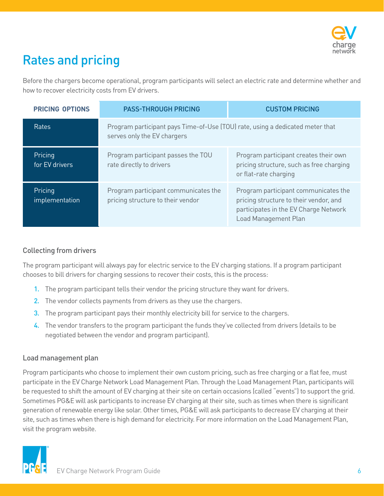

# Rates and pricing

Before the chargers become operational, program participants will select an electric rate and determine whether and how to recover electricity costs from EV drivers.

| <b>PRICING OPTIONS</b>    | <b>PASS-THROUGH PRICING</b>                                                                                  | <b>CUSTOM PRICING</b>                                                                                                                           |
|---------------------------|--------------------------------------------------------------------------------------------------------------|-------------------------------------------------------------------------------------------------------------------------------------------------|
| Rates                     | Program participant pays Time-of-Use (TOU) rate, using a dedicated meter that<br>serves only the EV chargers |                                                                                                                                                 |
| Pricing<br>for EV drivers | Program participant passes the TOU<br>rate directly to drivers                                               | Program participant creates their own<br>pricing structure, such as free charging<br>or flat-rate charging                                      |
| Pricing<br>implementation | Program participant communicates the<br>pricing structure to their vendor                                    | Program participant communicates the<br>pricing structure to their vendor, and<br>participates in the EV Charge Network<br>Load Management Plan |

### Collecting from drivers

The program participant will always pay for electric service to the EV charging stations. If a program participant chooses to bill drivers for charging sessions to recover their costs, this is the process:

- 1. The program participant tells their vendor the pricing structure they want for drivers.
- 2. The vendor collects payments from drivers as they use the chargers.
- 3. The program participant pays their monthly electricity bill for service to the chargers.
- 4. The vendor transfers to the program participant the funds they've collected from drivers (details to be negotiated between the vendor and program participant).

### Load management plan

Program participants who choose to implement their own custom pricing, such as free charging or a flat fee, must participate in the EV Charge Network Load Management Plan. Through the Load Management Plan, participants will be requested to shift the amount of EV charging at their site on certain occasions (called "events") to support the grid. Sometimes PG&E will ask participants to increase EV charging at their site, such as times when there is significant generation of renewable energy like solar. Other times, PG&E will ask participants to decrease EV charging at their site, such as times when there is high demand for electricity. For more information on the Load Management Plan, visit the program website.